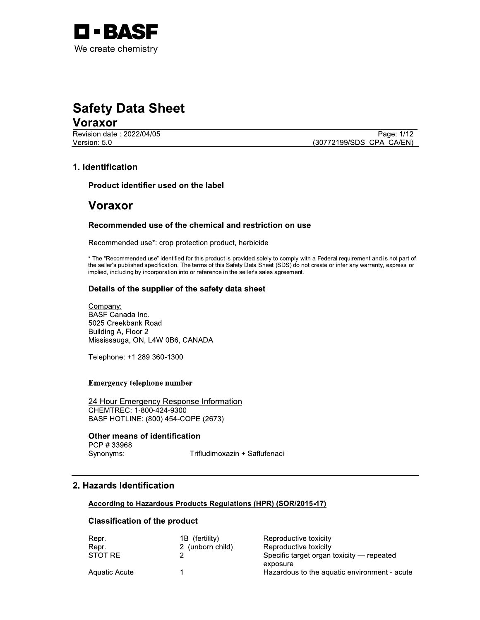

# Sarety Data Sneet<br>.. Safety Data Sheet<br>
Voraxor<br>
Revision date : 2022/04/05<br>
Version: 5.0<br>
1. Identification<br>
Product identifier used on the label<br>
Voraxor

<u>voraxor\_</u>

Page: 1/12<br>
Version: 5.0<br>
Version: 5.0<br>
(30772199/SDS\_CPA\_CA/EN)

#### 1. Identification

Product identifier used on the label

# voraxor<br>-

#### Recommended use of the chemical and restriction on use

 $\mathbb{Z}^{\mathbb{Z}}$ Recommended use\*: crop protection product, nerbicide

 $\overline{a}$ The "Recommended use" identified for this product is provided solely to comply with a Federal requirement and is not part of the seller's published specification. The terms of this Safety Data Sheet (SDS) do not create or infer any warranty, express or implied, including by incorporation into or reference in the seller's sales agreement.

#### $\mathbb{R}^2$ Details of the supplier of the safety data sheet

 $\mathbb{R}^2$ +?BV BASF Canada Inc. 5025 Creekbank Road Building A, Floor 2 Mississauga, ON, L4W 0B6, CANADA Details of the supplier of the safet<br>
Company:<br>
BASF Canada Inc.<br>
5025 Creekbank Road<br>
Building A, Floor 2<br>
Mississauga, ON, L4W 0B6, CANADA<br>
Telephone: +1 289 360-1300<br>
Emergency telephone number<br>
24 Hour Emergency Respon

Telephone: +1 289 360-1300

#### Emergency telephone number

 $\overline{a}$ . <u>24 Hour Emergency Response Information</u><br>CULT TERRATOR (2009) Mississauga, ON, L4W 0B6, CANADA<br>
Telephone: +1 289 360-1300<br>
Emergency telephone number<br>
24 Hour Emergency Response Information<br>
CHEMTREC: 1-800-424-9300<br>
BASF HOTLINE: (800) 454-COPE (2673)<br> **Other means of identificatio** BASF HOTLINE: (800) 454-COPE (2673) Emergency telephone number<br>
24 Hour Emergency Respons<br>
CHEMTREC: 1-800-424-9300<br>
BASF HOTLINE: (800) 454-COF<br> **Other means of identification<br>
CHEMTREC: (800) 454-COF<br>
Other means of identification<br>
Synonyms: T<br>
7<br>
2. Hazar** 

#### $\mathbb{R}^2$ Other means of identification

Synonyms: Trifludimoxazin + Saflufenacil

#### 2. Hazards Identification

#### <u>According to Hazardous Products Regulations (HPR) (SOR/2015-17)</u>

#### Ú. Classification of the product

| Repr.         | 1B (fertility)   | Reproductive toxicity                        |
|---------------|------------------|----------------------------------------------|
|               |                  |                                              |
| Repr.         | 2 (unborn child) | Reproductive toxicity                        |
| STOT RE       |                  | Specific target organ toxicity — repeated    |
|               |                  | exposure                                     |
| Aquatic Acute |                  | Hazardous to the aquatic environment - acute |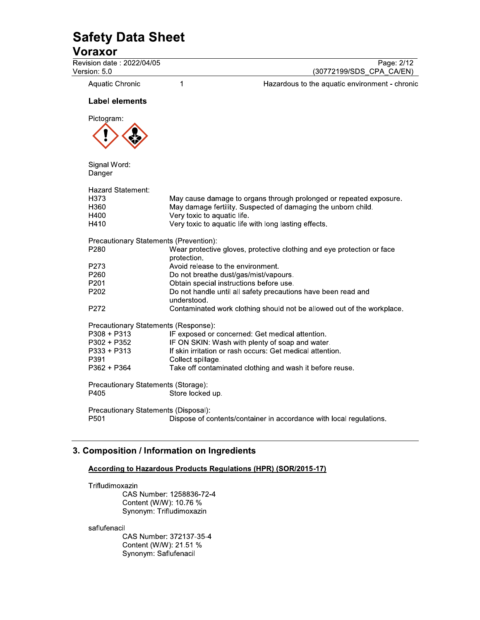$\overline{1}$ 

### **Voraxor**

Revision date: 2022/04/05 Version: 5.0

Page: 2/12 (30772199/SDS\_CPA\_CA/EN)

Aquatic Chronic

Hazardous to the aquatic environment - chronic

#### **Label elements**



Signal Word: Danger

| Hazard Statement: |                                                                        |
|-------------------|------------------------------------------------------------------------|
| H373              | May cause damage to organs through prolonged or repeated exposure.     |
| H360              | May damage fertility. Suspected of damaging the unborn child.          |
| H400              | Very toxic to aquatic life.                                            |
| H410              | Very toxic to aquatic life with long lasting effects.                  |
|                   | Precautionary Statements (Prevention):                                 |
| P280              | Wear protective gloves, protective clothing and eye protection or face |
|                   | protection.                                                            |
| P273              | Avoid release to the environment.                                      |
| P260              | Do not breathe dust/gas/mist/vapours.                                  |
| P201              | Obtain special instructions before use.                                |
| P202              | Do not handle until all safety precautions have been read and          |
|                   | understood.                                                            |
| P272              | Contaminated work clothing should not be allowed out of the workplace. |
|                   | Precautionary Statements (Response):                                   |
| P308 + P313       | IF exposed or concerned: Get medical attention.                        |
| P302 + P352       | IF ON SKIN: Wash with plenty of soap and water.                        |
| P333 + P313       | If skin irritation or rash occurs: Get medical attention.              |
| P391              | Collect spillage.                                                      |
| P362 + P364       | Take off contaminated clothing and wash it before reuse.               |
|                   | Precautionary Statements (Storage):                                    |
| P405              | Store locked up.                                                       |
|                   | Precautionary Statements (Disposal):                                   |
| P501              | Dispose of contents/container in accordance with local regulations.    |

#### 3. Composition / Information on Ingredients

#### **According to Hazardous Products Regulations (HPR) (SOR/2015-17)**

Trifludimoxazin

CAS Number: 1258836-72-4 Content (W/W): 10.76 % Synonym: Trifludimoxazin

saflufenacil

CAS Number: 372137-35-4 Content (W/W): 21.51 % Synonym: Saflufenacil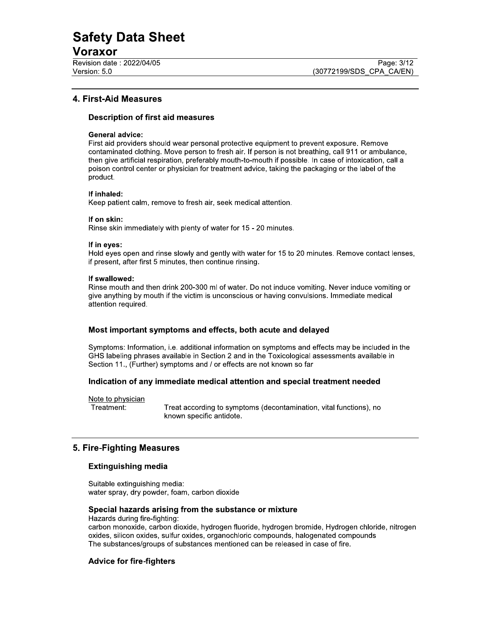#### Voraxor

Revision date: 2022/04/05 Version: 5.0

#### **4. First-Aid Measures**

#### **Description of first aid measures**

#### **General advice:**

First aid providers should wear personal protective equipment to prevent exposure. Remove contaminated clothing. Move person to fresh air. If person is not breathing, call 911 or ambulance, then give artificial respiration, preferably mouth-to-mouth if possible. In case of intoxication, call a poison control center or physician for treatment advice, taking the packaging or the label of the product.

#### If inhaled:

Keep patient calm, remove to fresh air, seek medical attention.

#### If on skin:

Rinse skin immediately with plenty of water for 15 - 20 minutes.

#### If in eyes:

Hold eyes open and rinse slowly and gently with water for 15 to 20 minutes. Remove contact lenses, if present, after first 5 minutes, then continue rinsing.

#### If swallowed:

Rinse mouth and then drink 200-300 ml of water. Do not induce vomiting. Never induce vomiting or give anything by mouth if the victim is unconscious or having convulsions. Immediate medical attention required.

#### Most important symptoms and effects, both acute and delayed

Symptoms: Information, i.e. additional information on symptoms and effects may be included in the GHS labeling phrases available in Section 2 and in the Toxicological assessments available in Section 11., (Further) symptoms and / or effects are not known so far

#### Indication of any immediate medical attention and special treatment needed

Note to physician Treatment:

Treat according to symptoms (decontamination, vital functions), no known specific antidote.

#### 5. Fire-Fighting Measures

#### **Extinguishing media**

Suitable extinguishing media: water spray, dry powder, foam, carbon dioxide

#### Special hazards arising from the substance or mixture

Hazards during fire-fighting:

carbon monoxide, carbon dioxide, hydrogen fluoride, hydrogen bromide, Hydrogen chloride, nitrogen oxides, silicon oxides, sulfur oxides, organochloric compounds, halogenated compounds The substances/groups of substances mentioned can be released in case of fire.

#### **Advice for fire-fighters**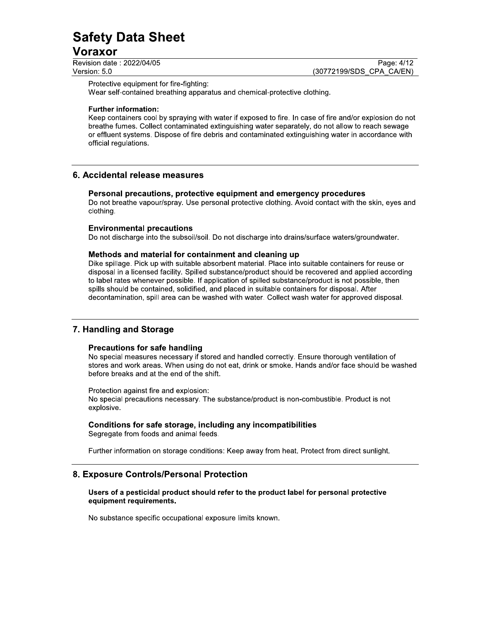## <u>voraxor\_</u>

 $\overline{\phantom{0}}$ 

| Revision date: 2022/04/05 | Page: 4/12               |
|---------------------------|--------------------------|
| Version: 5.0              | (30772199/SDS CPA CA/EN) |

Protective equipment for fire-fighting:

Wear self-contained breathing apparatus and chemical-protective clothing.

#### $\mathbf{r}$ Furtner information:

Safety Data Sheet<br>
Noraxor<br>
Nersion date: 2022/04/05<br>
Nersion date: 2022/04/05<br>
Protective equipment for fire-fighting:<br>
Protective equipment for fire-fighting:<br>
Were self-contained breathing apparatus and chemical-protect Keep containers cool by spraying with water if exposed to fire. In case of fire and/or explosion do not breathe fumes. Collect contaminated extinguishing water separately, do not allow to reach sewage or effluent systems. Dispose of fire debris and contaminated extinguishing water in accordance with official regulations.

#### 6. Accidental release measures

#### Personal precautions, protective equipment and emergency procedures

Do not breathe vapour/spray. Use personal protective clothing. Avoid contact with the skin, eyes and clothing.

#### $\overline{a}$ Environmental precautions

Do not discharge into the subsoil/soil. Do not discharge into drains/surface waters/groundwater.

#### $\mathbb{R}^2$ Methods and material for containment and cleaning up

Dike spillage. Pick up with suitable absorbent material. Place into suitable containers for reuse or disposal in a licensed facility. Spilled substance/product should be recovered and applied according to label rates whenever possible. If application of spilled substance/product is not possible, then spills should be contained, solidified, and placed in suitable containers for disposal. After decontamination, spill area can be washed with water. Collect wash water for approved disposal.

## **7. Handling and Storage**

#### Precautions for safe handling

No special measures necessary if stored and handled correctly. Ensure thorough ventilation of stores and work areas. When using do not eat, drink or smoke. Hands and/or face should be washed before breaks and at the end of the shift.

 $\mathbf{r}$ Protection against fire and explosion: No special precautions necessary. The substance/product is non-combustible. Product is not explosive.

#### $\mathbf{r}$  $\epsilon$  conditions for safe storage, including any incompatibilities

Segregate from foods and animal feeds.

 $\mathbf{r}$ Furtner information on storage conditions: Keep away from heat. Protect from direct sunlight.

#### 8. Exposure Controls/Personal Protection

Users of a pesticidal product should refer to the product label for personal protective equipment requirements.

i. No substance specific occupational exposure limits known.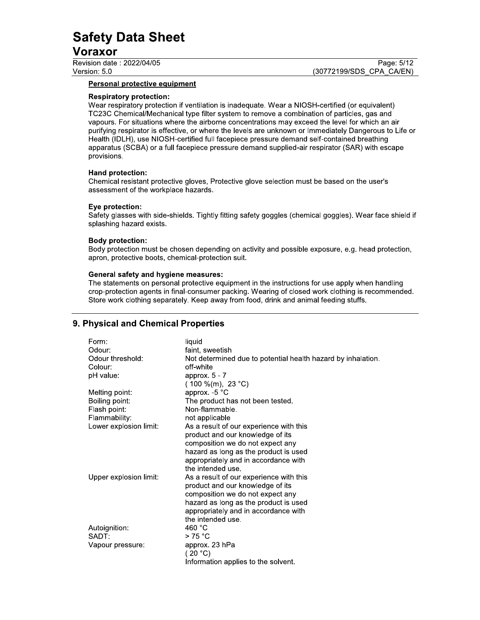## <u>voraxor\_</u>

#### Personal protective equipment

#### Respiratory protection:

**Safety Data Sheet**<br> **Version date:**<br> **Page:** 5/12<br> **Page:** 5/12<br> **Personal protective equipment**<br> **Respiratory protection:**<br> **Respiratory protection:**<br> **Respiratory protection:**<br> **Respiratory protection:**<br> **Respiratory pr** Wear respiratory protection if ventilation is inadequate. Wear a NIOSH-certified (or equivalent) TC23C Chemical/Mechanical type filter system to remove a combination of particles, gas and vapours. For situations where the airborne concentrations may exceed the level for which an air purifying respirator is effective, or where the levels are unknown or Immediately Dangerous to Life or Health (IDLH), use NIOSH-certified full facepiece pressure demand self-contained breathing apparatus (SCBA) or a full facepiece pressure demand supplied-air respirator (SAR) with escape provisions.

#### $\mathbf{L}$ Hand protection:

Chemical resistant protective gloves, Protective glove selection must be based on the user's assessment of the workplace hazards.

#### $\mathbf{r}$  $E$ ye protection:

Safety glasses with side-shields. Tightly fitting safety goggles (chemical goggles). Wear face shield if splashing hazard exists.

#### $\mathbf{r}$ Boay protection:<br>\_

Body protection must be chosen depending on activity and possible exposure, e.g. head protection, apron, protective boots, chemical-protection suit.

#### $\mathbf{r}$ [2312V \62:191<

The statements on personal protective equipment in the instructions for use apply when handling crop-protection agents in final-consumer packing. Wearing of closed work clothing is recommended. Store work clothing separately. Keep away from food, drink and animal feeding stuffs.

#### 9. Physical and Chemical Properties

| Form:                  | liquid                                                       |
|------------------------|--------------------------------------------------------------|
| Odour:                 | faint, sweetish                                              |
| Odour threshold:       | Not determined due to potential health hazard by inhalation. |
| Colour:                | off-white                                                    |
| pH value:              | approx. $5 - 7$                                              |
|                        | $(100\%$ (m), 23 °C)                                         |
| Melting point:         | approx. $-5$ °C                                              |
| Boiling point:         | The product has not been tested.                             |
| Flash point:           | Non-flammable.                                               |
| Flammability:          | not applicable                                               |
| Lower explosion limit: | As a result of our experience with this                      |
|                        | product and our knowledge of its                             |
|                        | composition we do not expect any                             |
|                        | hazard as long as the product is used                        |
|                        | appropriately and in accordance with                         |
|                        | the intended use.                                            |
| Upper explosion limit: | As a result of our experience with this                      |
|                        | product and our knowledge of its                             |
|                        | composition we do not expect any                             |
|                        | hazard as long as the product is used                        |
|                        | appropriately and in accordance with                         |
|                        | the intended use.                                            |
| Autoignition:          | 460 $^{\circ}$ C                                             |
| SADT:                  | >75 °C                                                       |
| Vapour pressure:       | approx. 23 hPa                                               |
|                        | (20 °C)                                                      |
|                        | Information applies to the solvent.                          |
|                        |                                                              |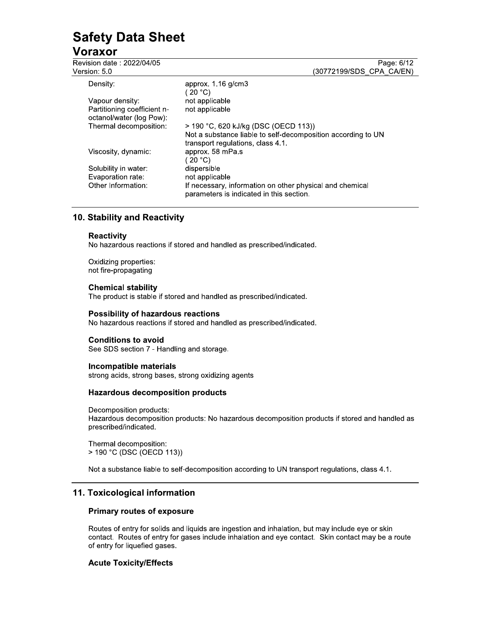#### Voraxor

Revision date: 2022/04/05 Vers

| ision date : 2022/04/05                                 | Page: 6/12                                                                                           |
|---------------------------------------------------------|------------------------------------------------------------------------------------------------------|
| sion: 5.0                                               | (30772199/SDS CPA CA/EN)                                                                             |
| Density:                                                | approx. $1.16$ g/cm $3$<br>( 20 °C)                                                                  |
| Vapour density:                                         | not applicable                                                                                       |
| Partitioning coefficient n-<br>octanol/water (log Pow): | not applicable                                                                                       |
| Thermal decomposition:                                  | > 190 °C, 620 kJ/kg (DSC (OECD 113))                                                                 |
|                                                         | Not a substance liable to self-decomposition according to UN<br>transport regulations, class 4.1.    |
| Viscosity, dynamic:                                     | approx. 58 mPa.s                                                                                     |
|                                                         | ′ 20 °C)                                                                                             |
| Solubility in water:                                    | dispersible                                                                                          |
| Evaporation rate:                                       | not applicable                                                                                       |
| Other Information:                                      | If necessary, information on other physical and chemical<br>parameters is indicated in this section. |

#### 10. Stability and Reactivity

#### **Reactivity**

No hazardous reactions if stored and handled as prescribed/indicated.

Oxidizing properties: not fire-propagating

#### **Chemical stability**

The product is stable if stored and handled as prescribed/indicated.

#### **Possibility of hazardous reactions**

No hazardous reactions if stored and handled as prescribed/indicated.

#### **Conditions to avoid**

See SDS section 7 - Handling and storage.

#### Incompatible materials

strong acids, strong bases, strong oxidizing agents

#### **Hazardous decomposition products**

Decomposition products: Hazardous decomposition products: No hazardous decomposition products if stored and handled as prescribed/indicated.

Thermal decomposition: > 190 °C (DSC (OECD 113))

Not a substance liable to self-decomposition according to UN transport regulations, class 4.1.

#### 11. Toxicological information

#### **Primary routes of exposure**

Routes of entry for solids and liquids are ingestion and inhalation, but may include eye or skin contact. Routes of entry for gases include inhalation and eye contact. Skin contact may be a route of entry for liquefied gases.

#### **Acute Toxicity/Effects**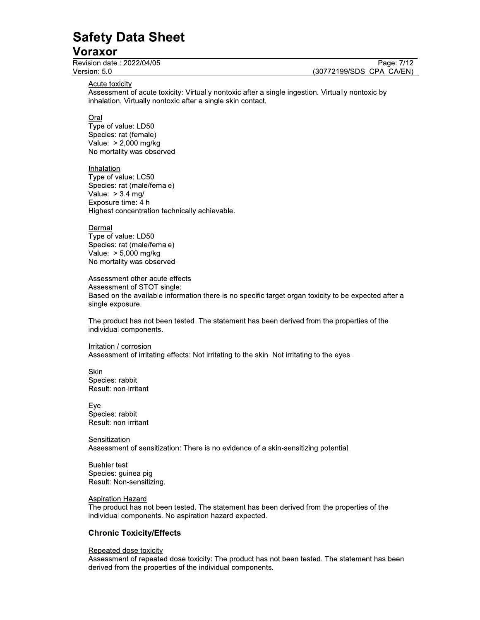#### Voraxor

Revision date: 2022/04/05 Version: 5.0

Page: 7/12 (30772199/SDS CPA CA/EN)

Acute toxicity

Assessment of acute toxicity: Virtually nontoxic after a single ingestion. Virtually nontoxic by inhalation. Virtually nontoxic after a single skin contact.

Oral

Type of value: LD50 Species: rat (female) Value: > 2,000 mg/kg No mortality was observed.

Inhalation Type of value: LC50 Species: rat (male/female) Value:  $> 3.4$  mg/l Exposure time: 4 h Highest concentration technically achievable.

Dermal Type of value: LD50 Species: rat (male/female) Value: > 5,000 mg/kg No mortality was observed.

#### Assessment other acute effects

Assessment of STOT single: Based on the available information there is no specific target organ toxicity to be expected after a single exposure.

The product has not been tested. The statement has been derived from the properties of the individual components.

Irritation / corrosion

Assessment of irritating effects: Not irritating to the skin. Not irritating to the eyes.

Skin Species: rabbit Result: non-irritant

Eye Species: rabbit Result: non-irritant

Sensitization Assessment of sensitization: There is no evidence of a skin-sensitizing potential.

**Buehler** test Species: guinea pig Result: Non-sensitizing.

#### **Aspiration Hazard**

The product has not been tested. The statement has been derived from the properties of the individual components. No aspiration hazard expected.

#### **Chronic Toxicity/Effects**

#### Repeated dose toxicity

Assessment of repeated dose toxicity: The product has not been tested. The statement has been derived from the properties of the individual components.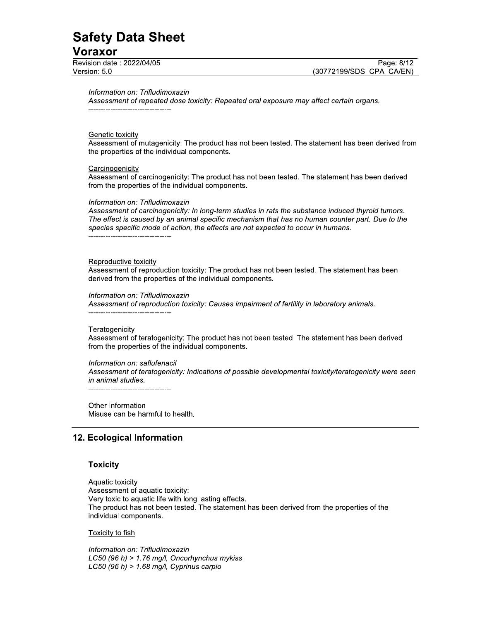## <u>voraxor\_</u>

 $\mathbf{r}$ information on: Trifludimoxazin

Safety Data Sheet<br>
Version: 5.0<br>
Nersion: 5.0<br>
Nersion: 5.0<br>
Mormation on: Trifludimoxazin<br>
Assessment of repeated dose toxicity: Repeated oral exposure may affect certain organs.<br>
<u>Genetic toxicity</u><br>
Assessment of mutagen Assessment of repeated dose toxicity: Repeated oral exposure may affect certain organs. JJJJJJJJJJJJJJJJJJJJJJJJJJJJJJJJJJ

#### Genetic toxicity

Assessment of mutagenicity: The product has not been tested. The statement has been derived from the properties of the individual components.

#### $\mathbf{r}$ <u>Carcinogenicity</u>

Assessment of carcinogenicity: The product has not been tested. The statement has been derived from the properties of the individual components.

#### $\mathbf{r}$ information on: Trifludimoxazin

Assessment of carcinogenicity: In long-term studies in rats the substance induced thyroid tumors. The effect is caused by an animal specific mechanism that has no human counter part. Due to the species specific mode of action, the effects are not expected to occur in humans. JJJJJJJJJJJJJJJJJJJJJJJJJJJJJJJJJJ

#### Reproductive toxicity

Assessment of reproduction toxicity: The product has not been tested. The statement has been derived from the properties of the individual components.

#### $\mathbb{R}^2$ information on: Trifludimoxazin

Assessment of reproduction toxicity: Causes impairment of fertility in laboratory animals. JJJJJJJJJJJJJJJJJJJJJJJJJJJJJJJJJJ

#### Ľ, Teratogenicity

Assessment of teratogenicity: The product has not been tested. The statement has been derived from the properties of the individual components.

#### $\mathbb{R}^{\mathbb{Z}}$ information on: saflufenacii

Assessment of teratogenicity: Indications of possible developmental toxicity/teratogenicity were seen in animal studies.

JJJJJJJJJJJJJJJJJJJJJJJJJJJJJJJJJJ

#### $\mathbb{R}^2$ <u>Other Information</u> Misuse can be harmful to health.

#### 12. Ecological Information

#### $\overline{a}$ **l** oxicity

ù. Aquatic toxicity Assessment of aquatic toxicity: Very toxic to aquatic life with long lasting effects. The product has not been tested. The statement has been derived from the properties of the individual components.

#### $\mathbf{r}$ <u>I OXICIty to fish</u>

 $\mathbf{r}$ information on: Trifludimoxazin  $LC50$  (96 h) > 1.76 mg/l, Oncorhynchus mykiss LC50 (96 h) > 1.68 mg/l, Cyprinus carpio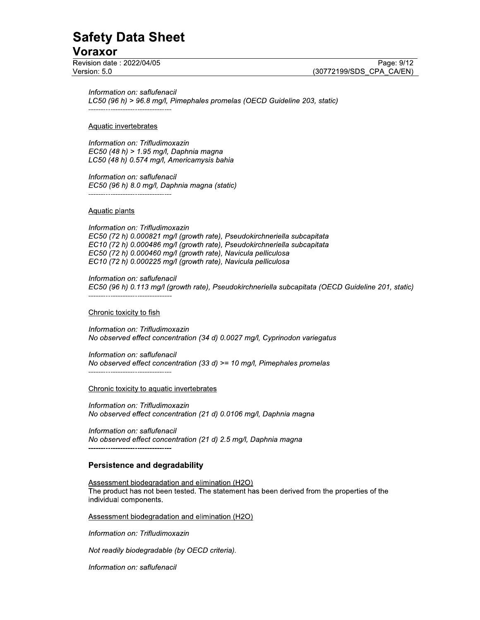## <u>voraxor\_</u>

 $\mathbf{r}$ information on: saflufenacii

Safety Data Sheet<br>
Version date : 2022/04/05<br>
Nersion: 5.0<br>
Version: 5.0<br>
Information on: saflufenacil<br>
LC50 (96 h) > 96.8 mg/l, Pimephales promelas (OECD Guideline 203, static)<br>
Aquatic invertebrates<br>
Information on: Trif LC50 (96 h) > 96.8 mg/l, Pimephales promelas (OECD Guideline 203, static) WWWWWWWWWWWWWWWWWWWWWWWWWWWWWWWWWW

#### i. <u>Aquatic invertebrates</u>

 $\mathbf{r}$ information on: Trifludimoxazin  $EC50$  (48 h) > 1.95 mg/l, Daphnia magna LC50 (48 h) 0.574 mg/l, Americamysis bahia

 $\mathbb{R}^2$ Information on: saflufenacii EC50 (96 h) 8.0 mg/l, Daphnia magna (static) WWWWWWWWWWWWWWWWWWWWWWWWWWWWWWWWWW

#### Ú. <u>Aquatic plants</u>

i. Information on: Trifludimoxazin EC50 (72 h) 0.000821 mg/l (growth rate), Pseudokirchneriella subcapitata EC10 (72 h) 0.000486 mg/l (growth rate), Pseudokirchneriella subcapitata EC50 (72 h) 0.000460 mg/l (growth rate), Navicula pelliculosa EC10 (72 h) 0.000225 mg/l (growth rate), Navicula pelliculosa

i. Information on: saflufenacii EC50 (96 h) 0.113 mg/l (growth rate), Pseudokirchneriella subcapitata (OECD Guideline 201, static) WWWWWWWWWWWWWWWWWWWWWWWWWWWWWWWWWW

#### $\mathbf{r}$ <u>Chronic toxicity to fish</u>

i.<br>L information on: Trifludimoxazin No observed effect concentration (34 d) 0.0027 mg/l, Cyprinodon variegatus

 $\mathbb{R}^2$ nformation on: saflufenacii No observed effect concentration (33 d)  $\geq$  = 10 mg/l, Pimephales promelas WWWWWWWWWWWWWWWWWWWWWWWWWWWWWWWWWW

#### $\mathbb{L}$ <u>Chronic toxicity to aquatic invertebrates</u>

 $\mathbf{r}$ information on: Trifludimoxazin No observed effect concentration (21 d) 0.0106 mg/l, Daphnia magna

J. information on: saflufenacii No observed effect concentration (21 d) 2.5 mg/l, Daphnia magna WWWWWWWWWWWWWWWWWWWWWWWWWWWWWWWWWW

#### $\mathbf{r}$ Persistence and degradability

Ú. Assessment biodegradation and elimination (H2O) The product has not been tested. The statement has been derived from the properties of the individual components.

i. <u>Assessment biodegradation and elimination (H2O)</u>

J. information on: Trifludimoxazin

i. inot readily biodegradable (by OECD criteria).

 $\mathbb{R}^{\mathbb{Z}}$ information on: saflufenacii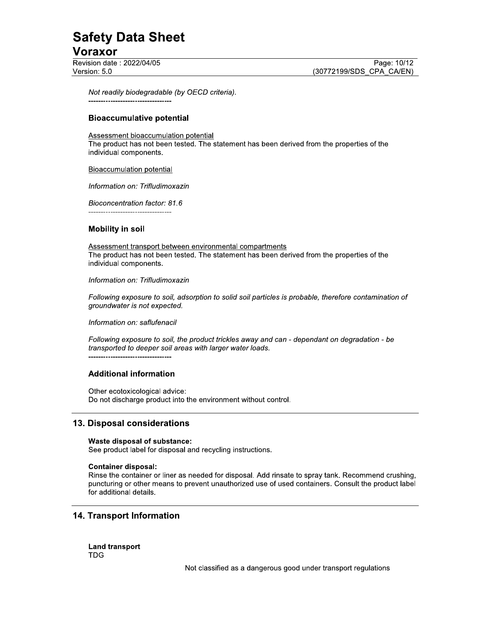## <u>voraxor\_</u>

 $\mathbb{R}^2$ not readily biodegradable (by OECD criteria). DDDDDDDDDDDDDDDDDDDDDDDDDDDDDDDDDD

#### $\mathbb{Z}^2$ Bloaccumulative potential

i. Assessment bioaccumulation potential<br>————————————————————

Safety Data Sheet<br>
Voraxor<br>
Revision date : 2022/04/05<br>
Version: 5.0<br>
Not readily biodegradable (by OECD criteria).<br>
All the product has not been tested. The statement has been derived from the properties of the<br>
The produ The product has not been tested. The statement has been derived from the properties of the individual components.

#### $\mathbf{L}$ <u>Bioaccumulation potential</u>

 $\mathbb{R}^{\mathbb{Z}}$ information on: Trifludimoxazin

 $\mathbb{L}$ Bioconcentration factor: 81.6 DDDDDDDDDDDDDDDDDDDDDDDDDDDDDDDDDD

#### $\mathbb{R}^2$ mopility in soil

ù. <u>Assessment transport between environmental compartments</u><br>— The product has not been tested. The statement has been derived from the properties of the individual components.

#### $\mathbb{R}^{\mathbb{Z}}$ information on: Trifludimoxazin

 $\mathbf{r}$ Following exposure to soil, adsorption to soild soil particles is probable, therefore contamination of groundwater is not expected.

i. information on: saflufenacii

 $\mathbf{r}$ Following exposure to soll, the product trickles away and can - dependant on degradation - be transported to deeper soil areas with larger water loads.

DDDDDDDDDDDDDDDDDDDDDDDDDDDDDDDDDD

#### $\mathbb{R}^2$ Additional Information

 $\mathbb{R}^2$ Other ecotoxicological advice: Do not discharge product into the environment without control.

#### 13. Disposal considerations

 $\overline{\phantom{0}}$ 

#### Waste disposal of substance:

See product label for disposal and recycling instructions.

#### $\mathbb{R}^2$ {MFMrFgLgJy

Rinse the container or liner as needed for disposal. Add rinsate to spray tank. Recommend crushing, puncturing or other means to prevent unauthorized use of used containers. Consult the product label for additional details.

#### 14. Transport Information

Land transport **TDG** 

Not classified as a dangerous good under transport regulations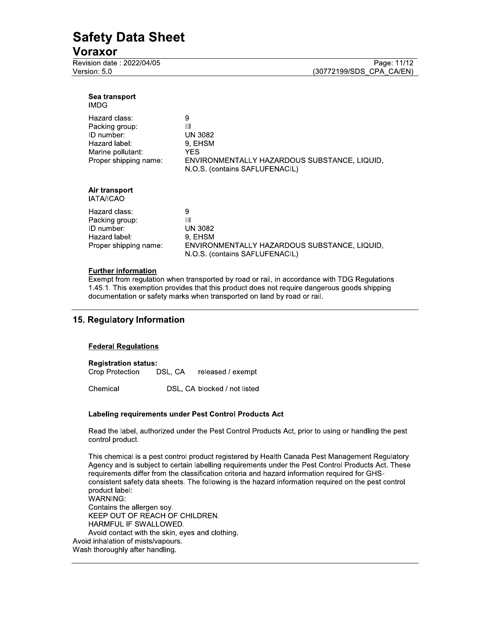#### Voraxor

Revision date: 2022/04/05 Version: 5.0

| Sea transport<br>IMDG                                                                                        |                                                                                                                              |
|--------------------------------------------------------------------------------------------------------------|------------------------------------------------------------------------------------------------------------------------------|
| Hazard class:<br>Packing group:<br>ID number:<br>Hazard label:<br>Marine pollutant:<br>Proper shipping name: | 9<br>Ш<br><b>UN 3082</b><br>9, EHSM<br>YES<br>ENVIRONMENTALLY HAZARDOUS SUBSTANCE, LIQUID,<br>N.O.S. (contains SAFLUFENACIL) |
| Air transport<br><b>IATA/ICAO</b>                                                                            |                                                                                                                              |
| Hazard class:<br>Packing group:<br>ID number:<br>Hazard label:<br>Proper shipping name:                      | 9<br>Ш<br>UN 3082<br>9. EHSM<br>ENVIRONMENTALLY HAZARDOUS SUBSTANCE, LIQUID,<br>N.O.S. (contains SAFLUFENACIL)               |

#### **Further information**

Exempt from regulation when transported by road or rail, in accordance with TDG Regulations 1.45.1. This exemption provides that this product does not require dangerous goods shipping documentation or safety marks when transported on land by road or rail.

#### 15. Regulatory Information

#### **Federal Regulations**

#### **Registration status:**

Crop Protection DSL, CA released / exempt

Chemical DSL, CA blocked / not listed

#### Labeling requirements under Pest Control Products Act

Read the label, authorized under the Pest Control Products Act, prior to using or handling the pest control product.

This chemical is a pest control product registered by Health Canada Pest Management Regulatory Agency and is subject to certain labelling requirements under the Pest Control Products Act. These requirements differ from the classification criteria and hazard information required for GHSconsistent safety data sheets. The following is the hazard information required on the pest control product label: **WARNING:** Contains the allergen soy. KEEP OUT OF REACH OF CHILDREN. HARMFUL IF SWALLOWED. Avoid contact with the skin, eyes and clothing. Avoid inhalation of mists/vapours. Wash thoroughly after handling.